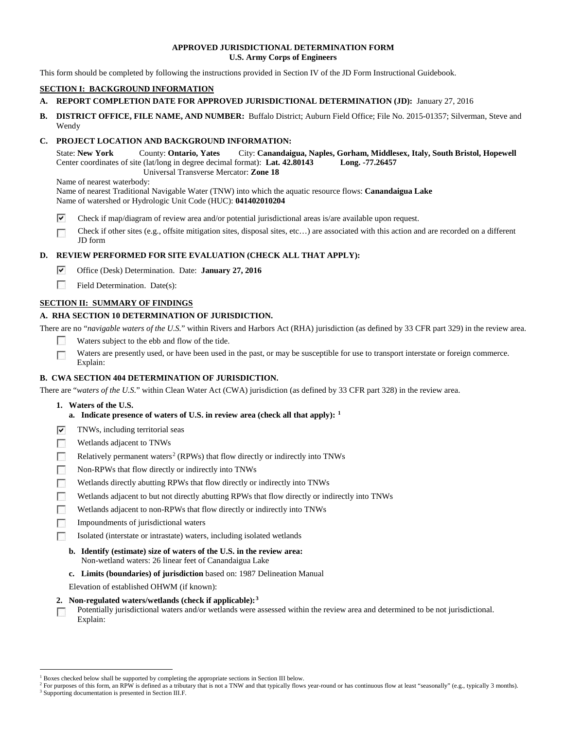### **APPROVED JURISDICTIONAL DETERMINATION FORM U.S. Army Corps of Engineers**

This form should be completed by following the instructions provided in Section IV of the JD Form Instructional Guidebook.

# **SECTION I: BACKGROUND INFORMATION**

- **A. REPORT COMPLETION DATE FOR APPROVED JURISDICTIONAL DETERMINATION (JD):** January 27, 2016
- **B. DISTRICT OFFICE, FILE NAME, AND NUMBER:** Buffalo District; Auburn Field Office; File No. 2015-01357; Silverman, Steve and Wendy

# **C. PROJECT LOCATION AND BACKGROUND INFORMATION:**

State: **New York** County: **Ontario, Yates** City: **Canandaigua, Naples, Gorham, Middlesex, Italy, South Bristol, Hopewell** Center coordinates of site (lat/long in degree decimal format): **Lat. 42.80143 Long. -77.26457** Universal Transverse Mercator: **Zone 18**

Name of nearest waterbody:

Name of nearest Traditional Navigable Water (TNW) into which the aquatic resource flows: **Canandaigua Lake** Name of watershed or Hydrologic Unit Code (HUC): **041402010204**

- ⊽ Check if map/diagram of review area and/or potential jurisdictional areas is/are available upon request.
- $\overline{a}$ Check if other sites (e.g., offsite mitigation sites, disposal sites, etc…) are associated with this action and are recorded on a different JD form

# **D. REVIEW PERFORMED FOR SITE EVALUATION (CHECK ALL THAT APPLY):**

- ⊽ Office (Desk) Determination. Date: **January 27, 2016**
- $\sim$ Field Determination. Date(s):

# **SECTION II: SUMMARY OF FINDINGS**

# **A. RHA SECTION 10 DETERMINATION OF JURISDICTION.**

There are no "*navigable waters of the U.S.*" within Rivers and Harbors Act (RHA) jurisdiction (as defined by 33 CFR part 329) in the review area.

- $\mathcal{L}_{\mathrm{eff}}$ Waters subject to the ebb and flow of the tide.
- Waters are presently used, or have been used in the past, or may be susceptible for use to transport interstate or foreign commerce.  $\overline{\mathcal{C}}$ Explain:

# **B. CWA SECTION 404 DETERMINATION OF JURISDICTION.**

There are "waters of the U.S." within Clean Water Act (CWA) jurisdiction (as defined by 33 CFR part 328) in the review area.

- **1. Waters of the U.S.**
	- **a. Indicate presence of waters of U.S. in review area (check all that apply): [1](#page-0-0)**
- ⊽ TNWs, including territorial seas
- п Wetlands adjacent to TNWs
- $\overline{a}$ Relatively permanent waters<sup>[2](#page-0-1)</sup> (RPWs) that flow directly or indirectly into TNWs
- $\sim$ Non-RPWs that flow directly or indirectly into TNWs
- $\sim$ Wetlands directly abutting RPWs that flow directly or indirectly into TNWs
- $\sqrt{2}$ Wetlands adjacent to but not directly abutting RPWs that flow directly or indirectly into TNWs
- Wetlands adjacent to non-RPWs that flow directly or indirectly into TNWs **The Street**
- **The Street** Impoundments of jurisdictional waters
- $\overline{a}$ Isolated (interstate or intrastate) waters, including isolated wetlands
	- **b. Identify (estimate) size of waters of the U.S. in the review area:** Non-wetland waters: 26 linear feet of Canandaigua Lake
	- **c. Limits (boundaries) of jurisdiction** based on: 1987 Delineation Manual

Elevation of established OHWM (if known):

- **2. Non-regulated waters/wetlands (check if applicable):[3](#page-0-2)**
- Potentially jurisdictional waters and/or wetlands were assessed within the review area and determined to be not jurisdictional.  $\sqrt{2}$ Explain:

<span id="page-0-0"></span><sup>&</sup>lt;sup>1</sup> Boxes checked below shall be supported by completing the appropriate sections in Section III below.

<span id="page-0-1"></span><sup>&</sup>lt;sup>2</sup> For purposes of this form, an RPW is defined as a tributary that is not a TNW and that typically flows year-round or has continuous flow at least "seasonally" (e.g., typically 3 months).

<span id="page-0-2"></span><sup>&</sup>lt;sup>3</sup> Supporting documentation is presented in Section III.F.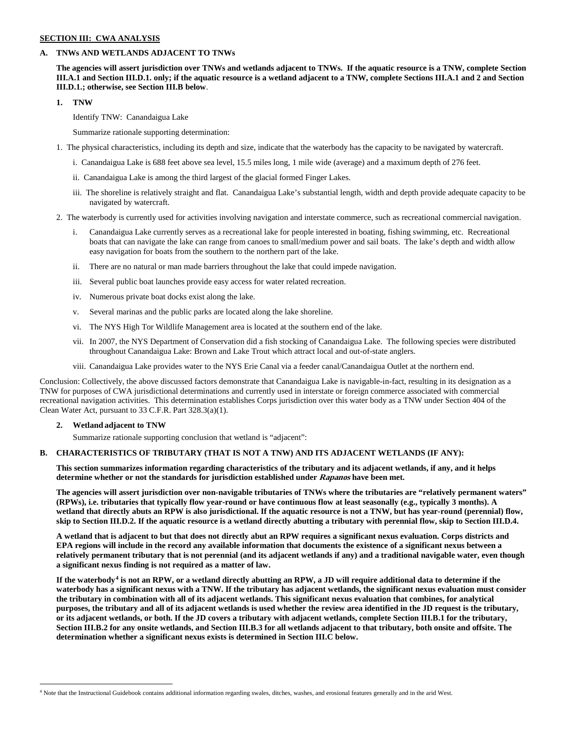#### **SECTION III: CWA ANALYSIS**

#### **A. TNWs AND WETLANDS ADJACENT TO TNWs**

**The agencies will assert jurisdiction over TNWs and wetlands adjacent to TNWs. If the aquatic resource is a TNW, complete Section III.A.1 and Section III.D.1. only; if the aquatic resource is a wetland adjacent to a TNW, complete Sections III.A.1 and 2 and Section III.D.1.; otherwise, see Section III.B below**.

**1. TNW** 

Identify TNW: Canandaigua Lake

Summarize rationale supporting determination:

- 1. The physical characteristics, including its depth and size, indicate that the waterbody has the capacity to be navigated by watercraft.
	- i. Canandaigua Lake is 688 feet above sea level, 15.5 miles long, 1 mile wide (average) and a maximum depth of 276 feet.
	- ii. Canandaigua Lake is among the third largest of the glacial formed Finger Lakes.
	- iii. The shoreline is relatively straight and flat. Canandaigua Lake's substantial length, width and depth provide adequate capacity to be navigated by watercraft.
- 2. The waterbody is currently used for activities involving navigation and interstate commerce, such as recreational commercial navigation.
	- i. Canandaigua Lake currently serves as a recreational lake for people interested in boating, fishing swimming, etc. Recreational boats that can navigate the lake can range from canoes to small/medium power and sail boats. The lake's depth and width allow easy navigation for boats from the southern to the northern part of the lake.
	- ii. There are no natural or man made barriers throughout the lake that could impede navigation.
	- iii. Several public boat launches provide easy access for water related recreation.
	- iv. Numerous private boat docks exist along the lake.
	- v. Several marinas and the public parks are located along the lake shoreline.
	- vi. The NYS High Tor Wildlife Management area is located at the southern end of the lake.
	- vii. In 2007, the NYS Department of Conservation did a fish stocking of Canandaigua Lake. The following species were distributed throughout Canandaigua Lake: Brown and Lake Trout which attract local and out-of-state anglers.
	- viii. Canandaigua Lake provides water to the NYS Erie Canal via a feeder canal/Canandaigua Outlet at the northern end.

Conclusion: Collectively, the above discussed factors demonstrate that Canandaigua Lake is navigable-in-fact, resulting in its designation as a TNW for purposes of CWA jurisdictional determinations and currently used in interstate or foreign commerce associated with commercial recreational navigation activities. This determination establishes Corps jurisdiction over this water body as a TNW under Section 404 of the Clean Water Act, pursuant to 33 C.F.R. Part 328.3(a)(1).

#### **2. Wetland adjacent to TNW**

Summarize rationale supporting conclusion that wetland is "adjacent":

#### **B. CHARACTERISTICS OF TRIBUTARY (THAT IS NOT A TNW) AND ITS ADJACENT WETLANDS (IF ANY):**

**This section summarizes information regarding characteristics of the tributary and its adjacent wetlands, if any, and it helps determine whether or not the standards for jurisdiction established under Rapanos have been met.** 

**The agencies will assert jurisdiction over non-navigable tributaries of TNWs where the tributaries are "relatively permanent waters" (RPWs), i.e. tributaries that typically flow year-round or have continuous flow at least seasonally (e.g., typically 3 months). A wetland that directly abuts an RPW is also jurisdictional. If the aquatic resource is not a TNW, but has year-round (perennial) flow, skip to Section III.D.2. If the aquatic resource is a wetland directly abutting a tributary with perennial flow, skip to Section III.D.4.**

**A wetland that is adjacent to but that does not directly abut an RPW requires a significant nexus evaluation. Corps districts and EPA regions will include in the record any available information that documents the existence of a significant nexus between a relatively permanent tributary that is not perennial (and its adjacent wetlands if any) and a traditional navigable water, even though a significant nexus finding is not required as a matter of law.**

**If the waterbody[4](#page-1-0) is not an RPW, or a wetland directly abutting an RPW, a JD will require additional data to determine if the waterbody has a significant nexus with a TNW. If the tributary has adjacent wetlands, the significant nexus evaluation must consider the tributary in combination with all of its adjacent wetlands. This significant nexus evaluation that combines, for analytical purposes, the tributary and all of its adjacent wetlands is used whether the review area identified in the JD request is the tributary, or its adjacent wetlands, or both. If the JD covers a tributary with adjacent wetlands, complete Section III.B.1 for the tributary, Section III.B.2 for any onsite wetlands, and Section III.B.3 for all wetlands adjacent to that tributary, both onsite and offsite. The determination whether a significant nexus exists is determined in Section III.C below.**

<span id="page-1-0"></span> <sup>4</sup> Note that the Instructional Guidebook contains additional information regarding swales, ditches, washes, and erosional features generally and in the arid West.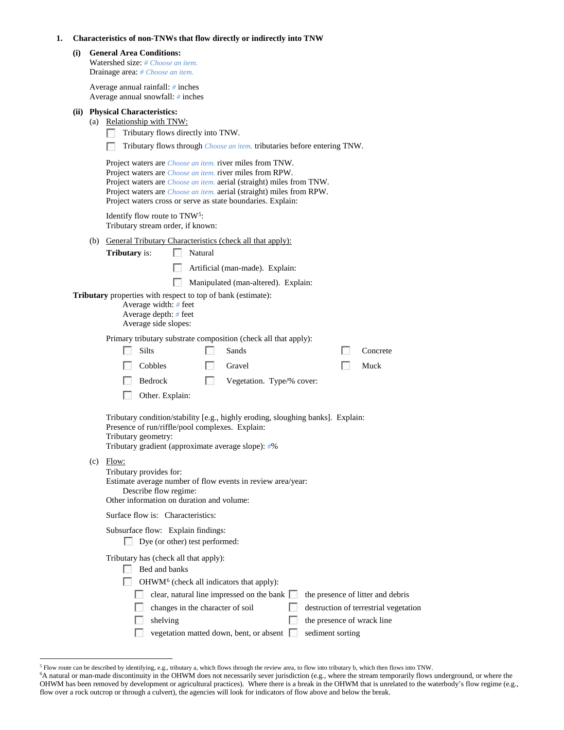| Characteristics of non-TNWs that flow directly or indirectly into TNW |  |
|-----------------------------------------------------------------------|--|
|-----------------------------------------------------------------------|--|

| (i) | <b>General Area Conditions:</b><br>Watershed size: # Choose an item.<br>Drainage area: # Choose an item.                                        |                                |                                                                                                                                                                                                                                                                                                                                                                                                                                                       |    |                                   |
|-----|-------------------------------------------------------------------------------------------------------------------------------------------------|--------------------------------|-------------------------------------------------------------------------------------------------------------------------------------------------------------------------------------------------------------------------------------------------------------------------------------------------------------------------------------------------------------------------------------------------------------------------------------------------------|----|-----------------------------------|
|     | Average annual rainfall: $#$ inches<br>Average annual snowfall: # inches                                                                        |                                |                                                                                                                                                                                                                                                                                                                                                                                                                                                       |    |                                   |
|     | (ii) Physical Characteristics:<br>(a) Relationship with TNW:<br>Tributary flows directly into TNW.                                              |                                | Tributary flows through <i>Choose an item</i> . tributaries before entering TNW.<br>Project waters are <i>Choose an item</i> , river miles from TNW.<br>Project waters are <i>Choose an item</i> . river miles from RPW.<br>Project waters are <i>Choose an item.</i> aerial (straight) miles from TNW.<br>Project waters are <i>Choose an item.</i> aerial (straight) miles from RPW.<br>Project waters cross or serve as state boundaries. Explain: |    |                                   |
|     | Identify flow route to TNW <sup>5</sup> :<br>Tributary stream order, if known:                                                                  |                                |                                                                                                                                                                                                                                                                                                                                                                                                                                                       |    |                                   |
|     | <b>Tributary</b> is:<br><b>Tributary</b> properties with respect to top of bank (estimate):<br>Average width: $#$ feet<br>Average depth: # feet | Natural                        | (b) General Tributary Characteristics (check all that apply):<br>Artificial (man-made). Explain:<br>Manipulated (man-altered). Explain:                                                                                                                                                                                                                                                                                                               |    |                                   |
|     | Average side slopes:<br>Silts<br>Cobbles<br>Bedrock<br>Other. Explain:<br>F.                                                                    | P.<br>PS.                      | Primary tributary substrate composition (check all that apply):<br>Sands<br>Gravel<br>Vegetation. Type/% cover:                                                                                                                                                                                                                                                                                                                                       | P. | Concrete<br>Muck                  |
|     | Presence of run/riffle/pool complexes. Explain:<br>Tributary geometry:<br>Tributary gradient (approximate average slope): #%                    |                                | Tributary condition/stability [e.g., highly eroding, sloughing banks]. Explain:                                                                                                                                                                                                                                                                                                                                                                       |    |                                   |
|     | $(c)$ Flow:<br>Tributary provides for:<br>Describe flow regime:<br>Other information on duration and volume:                                    |                                | Estimate average number of flow events in review area/year:                                                                                                                                                                                                                                                                                                                                                                                           |    |                                   |
|     | Surface flow is: Characteristics:                                                                                                               |                                |                                                                                                                                                                                                                                                                                                                                                                                                                                                       |    |                                   |
|     | Subsurface flow: Explain findings:                                                                                                              | Dye (or other) test performed: |                                                                                                                                                                                                                                                                                                                                                                                                                                                       |    |                                   |
|     | Tributary has (check all that apply):<br>Bed and banks<br>P.                                                                                    |                                | OHWM <sup>6</sup> (check all indicators that apply):<br>clear, natural line impressed on the bank $\Box$                                                                                                                                                                                                                                                                                                                                              |    | the presence of litter and debris |

changes in the character of soil destruction of terrestrial vegetation

 $\Box$  shelving the presence of wrack line vegetation matted down, bent, or absent  $\Box$  sediment sorting

<sup>&</sup>lt;sup>5</sup> Flow route can be described by identifying, e.g., tributary a, which flows through the review area, to flow into tributary b, which then flows into TNW.<br><sup>6</sup>A natural or man-made discontinuity in the OHWM does not neces

<span id="page-2-1"></span><span id="page-2-0"></span>OHWM has been removed by development or agricultural practices). Where there is a break in the OHWM that is unrelated to the waterbody's flow regime (e.g., flow over a rock outcrop or through a culvert), the agencies will look for indicators of flow above and below the break.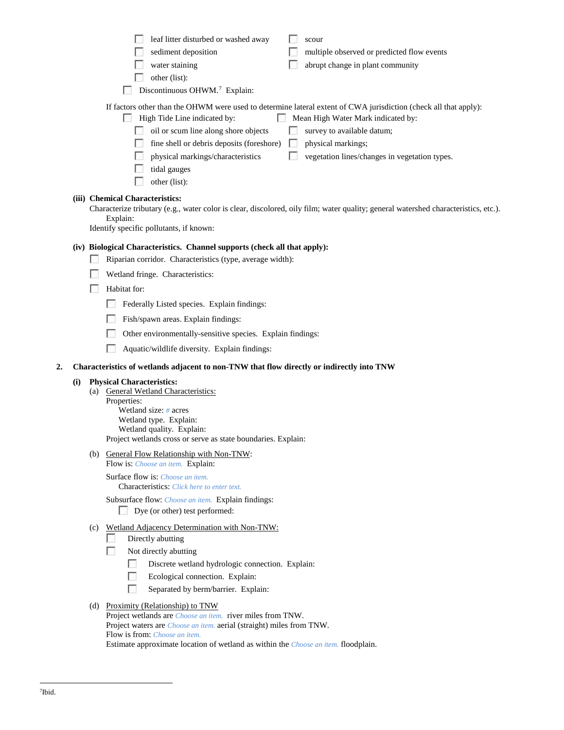|    |     |     | leaf litter disturbed or washed away<br>scour                                                                                                                                          |
|----|-----|-----|----------------------------------------------------------------------------------------------------------------------------------------------------------------------------------------|
|    |     |     | sediment deposition<br>multiple observed or predicted flow events                                                                                                                      |
|    |     |     | water staining<br>abrupt change in plant community                                                                                                                                     |
|    |     |     | other (list):                                                                                                                                                                          |
|    |     |     | Discontinuous OHWM. <sup>7</sup> Explain:                                                                                                                                              |
|    |     |     | If factors other than the OHWM were used to determine lateral extent of CWA jurisdiction (check all that apply):<br>High Tide Line indicated by:<br>Mean High Water Mark indicated by: |
|    |     |     | oil or scum line along shore objects<br>survey to available datum;                                                                                                                     |
|    |     |     | fine shell or debris deposits (foreshore)<br>physical markings;<br><b>Form</b>                                                                                                         |
|    |     |     | physical markings/characteristics<br>vegetation lines/changes in vegetation types.                                                                                                     |
|    |     |     | tidal gauges                                                                                                                                                                           |
|    |     |     | other (list):                                                                                                                                                                          |
|    |     |     | (iii) Chemical Characteristics:                                                                                                                                                        |
|    |     |     | Characterize tributary (e.g., water color is clear, discolored, oily film; water quality; general watershed characteristics, etc.).                                                    |
|    |     |     | Explain:<br>Identify specific pollutants, if known:                                                                                                                                    |
|    |     |     |                                                                                                                                                                                        |
|    |     |     | (iv) Biological Characteristics. Channel supports (check all that apply):                                                                                                              |
|    |     |     | Riparian corridor. Characteristics (type, average width):                                                                                                                              |
|    |     |     | Wetland fringe. Characteristics:                                                                                                                                                       |
|    |     |     | Habitat for:                                                                                                                                                                           |
|    |     |     | Federally Listed species. Explain findings:                                                                                                                                            |
|    |     |     | Fish/spawn areas. Explain findings:                                                                                                                                                    |
|    |     |     | Other environmentally-sensitive species. Explain findings:                                                                                                                             |
|    |     |     | Aquatic/wildlife diversity. Explain findings:                                                                                                                                          |
| 2. |     |     | Characteristics of wetlands adjacent to non-TNW that flow directly or indirectly into TNW                                                                                              |
|    | (i) |     | <b>Physical Characteristics:</b>                                                                                                                                                       |
|    |     | (a) | <b>General Wetland Characteristics:</b>                                                                                                                                                |
|    |     |     | Properties:<br>Wetland size: $#$ acres                                                                                                                                                 |
|    |     |     | Wetland type. Explain:                                                                                                                                                                 |
|    |     |     | Wetland quality. Explain:                                                                                                                                                              |
|    |     |     | Project wetlands cross or serve as state boundaries. Explain:                                                                                                                          |
|    |     |     | (b) General Flow Relationship with Non-TNW:<br>Flow is: Choose an item. Explain:                                                                                                       |
|    |     |     | Surface flow is: Choose an item.<br><b>Characteristics:</b> Click here to enter text.                                                                                                  |
|    |     |     | Subsurface flow: Choose an item. Explain findings:                                                                                                                                     |
|    |     |     | Dye (or other) test performed:                                                                                                                                                         |
|    |     |     | (c) Wetland Adjacency Determination with Non-TNW:                                                                                                                                      |
|    |     |     | Directly abutting                                                                                                                                                                      |
|    |     |     | Not directly abutting                                                                                                                                                                  |
|    |     |     | Discrete wetland hydrologic connection. Explain:                                                                                                                                       |
|    |     |     | Ecological connection. Explain:                                                                                                                                                        |
|    |     |     | Separated by berm/barrier. Explain:                                                                                                                                                    |

# <span id="page-3-0"></span>(d) Proximity (Relationship) to TNW

Project wetlands are *Choose an item.* river miles from TNW. Project waters are *Choose an item.* aerial (straight) miles from TNW. Flow is from: *Choose an item.* Estimate approximate location of wetland as within the *Choose an item.* floodplain.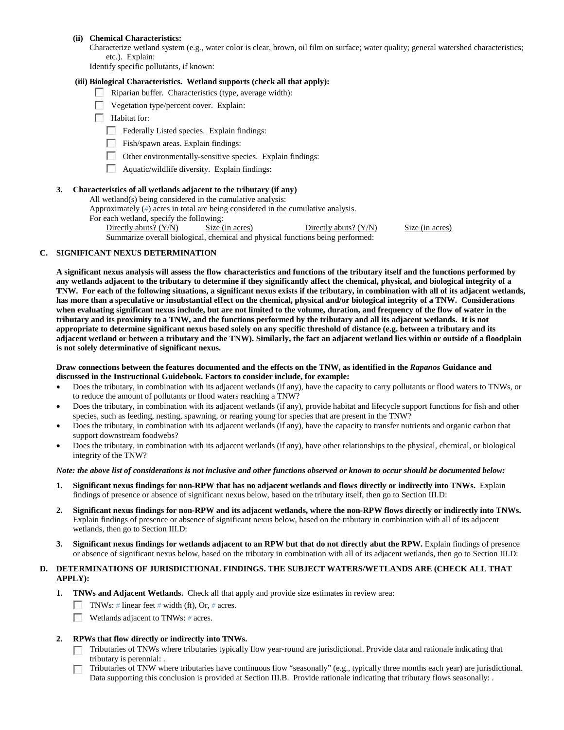#### **(ii) Chemical Characteristics:**

Characterize wetland system (e.g., water color is clear, brown, oil film on surface; water quality; general watershed characteristics; etc.). Explain:

Identify specific pollutants, if known:

# **(iii) Biological Characteristics. Wetland supports (check all that apply):**

- Riparian buffer. Characteristics (type, average width):
- Vegetation type/percent cover. Explain:
- **Habitat for:** 
	- Federally Listed species. Explain findings:
	- $\Box$  Fish/spawn areas. Explain findings:
	- Other environmentally-sensitive species. Explain findings:
	- **Aquatic/wildlife diversity. Explain findings:**

# **3. Characteristics of all wetlands adjacent to the tributary (if any)**

All wetland(s) being considered in the cumulative analysis:

Approximately (*#*) acres in total are being considered in the cumulative analysis.

For each wetland, specify the following:

Directly abuts? (Y/N) Size (in acres) Directly abuts? (Y/N) Size (in acres) Summarize overall biological, chemical and physical functions being performed:

**C. SIGNIFICANT NEXUS DETERMINATION** 

**A significant nexus analysis will assess the flow characteristics and functions of the tributary itself and the functions performed by any wetlands adjacent to the tributary to determine if they significantly affect the chemical, physical, and biological integrity of a TNW. For each of the following situations, a significant nexus exists if the tributary, in combination with all of its adjacent wetlands, has more than a speculative or insubstantial effect on the chemical, physical and/or biological integrity of a TNW. Considerations when evaluating significant nexus include, but are not limited to the volume, duration, and frequency of the flow of water in the tributary and its proximity to a TNW, and the functions performed by the tributary and all its adjacent wetlands. It is not appropriate to determine significant nexus based solely on any specific threshold of distance (e.g. between a tributary and its adjacent wetland or between a tributary and the TNW). Similarly, the fact an adjacent wetland lies within or outside of a floodplain is not solely determinative of significant nexus.** 

#### **Draw connections between the features documented and the effects on the TNW, as identified in the** *Rapanos* **Guidance and discussed in the Instructional Guidebook. Factors to consider include, for example:**

- Does the tributary, in combination with its adjacent wetlands (if any), have the capacity to carry pollutants or flood waters to TNWs, or to reduce the amount of pollutants or flood waters reaching a TNW?
- Does the tributary, in combination with its adjacent wetlands (if any), provide habitat and lifecycle support functions for fish and other species, such as feeding, nesting, spawning, or rearing young for species that are present in the TNW?
- Does the tributary, in combination with its adjacent wetlands (if any), have the capacity to transfer nutrients and organic carbon that support downstream foodwebs?
- Does the tributary, in combination with its adjacent wetlands (if any), have other relationships to the physical, chemical, or biological integrity of the TNW?

#### *Note: the above list of considerations is not inclusive and other functions observed or known to occur should be documented below:*

- **1. Significant nexus findings for non-RPW that has no adjacent wetlands and flows directly or indirectly into TNWs.** Explain findings of presence or absence of significant nexus below, based on the tributary itself, then go to Section III.D:
- **2. Significant nexus findings for non-RPW and its adjacent wetlands, where the non-RPW flows directly or indirectly into TNWs.**  Explain findings of presence or absence of significant nexus below, based on the tributary in combination with all of its adjacent wetlands, then go to Section III.D:
- **3. Significant nexus findings for wetlands adjacent to an RPW but that do not directly abut the RPW.** Explain findings of presence or absence of significant nexus below, based on the tributary in combination with all of its adjacent wetlands, then go to Section III.D:

# **D. DETERMINATIONS OF JURISDICTIONAL FINDINGS. THE SUBJECT WATERS/WETLANDS ARE (CHECK ALL THAT APPLY):**

- **1. TNWs and Adjacent Wetlands.** Check all that apply and provide size estimates in review area:
	- TNWs: *#* linear feet *#* width (ft), Or, *#* acres.
	- Wetlands adjacent to TNWs: # acres.
- **2. RPWs that flow directly or indirectly into TNWs.**
	- Tributaries of TNWs where tributaries typically flow year-round are jurisdictional. Provide data and rationale indicating that tributary is perennial: .
	- Tributaries of TNW where tributaries have continuous flow "seasonally" (e.g., typically three months each year) are jurisdictional. Data supporting this conclusion is provided at Section III.B. Provide rationale indicating that tributary flows seasonally: .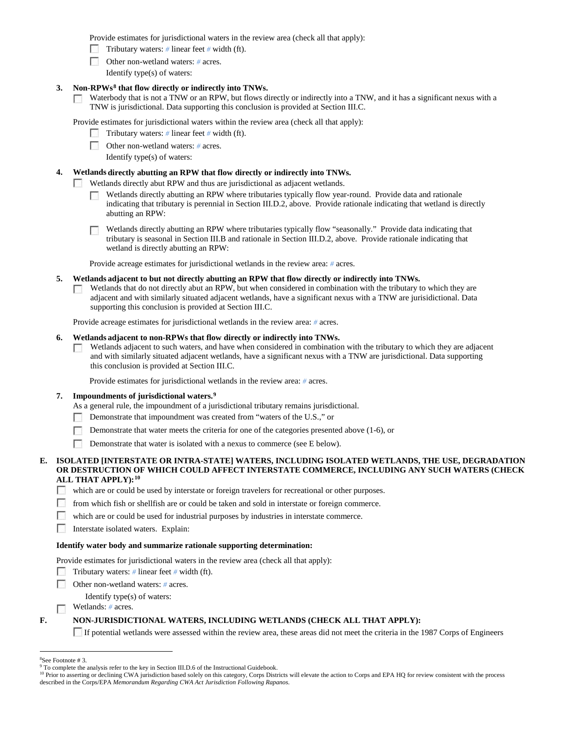Provide estimates for jurisdictional waters in the review area (check all that apply):

- Tributary waters: # linear feet # width (ft).
- Other non-wetland waters: *#* acres.
	- Identify type(s) of waters:

### **3. Non-RPWs[8](#page-5-0) that flow directly or indirectly into TNWs.**

Waterbody that is not a TNW or an RPW, but flows directly or indirectly into a TNW, and it has a significant nexus with a  $\mathcal{E}(\mathcal{E})$ TNW is jurisdictional. Data supporting this conclusion is provided at Section III.C.

Provide estimates for jurisdictional waters within the review area (check all that apply):

- Tributary waters: *#* linear feet *#* width (ft).
- Other non-wetland waters: # acres.
	- Identify type(s) of waters:

# **4. Wetlands directly abutting an RPW that flow directly or indirectly into TNWs.**

**PART** Wetlands directly abut RPW and thus are jurisdictional as adjacent wetlands.

- Wetlands directly abutting an RPW where tributaries typically flow year-round. Provide data and rationale п indicating that tributary is perennial in Section III.D.2, above. Provide rationale indicating that wetland is directly abutting an RPW:
- Wetlands directly abutting an RPW where tributaries typically flow "seasonally." Provide data indicating that tributary is seasonal in Section III.B and rationale in Section III.D.2, above. Provide rationale indicating that wetland is directly abutting an RPW:

Provide acreage estimates for jurisdictional wetlands in the review area: *#* acres.

- **5. Wetlands adjacent to but not directly abutting an RPW that flow directly or indirectly into TNWs.**
	- Wetlands that do not directly abut an RPW, but when considered in combination with the tributary to which they are  $\mathcal{L}_{\mathrm{eff}}$ adjacent and with similarly situated adjacent wetlands, have a significant nexus with a TNW are jurisidictional. Data supporting this conclusion is provided at Section III.C.

Provide acreage estimates for jurisdictional wetlands in the review area: *#* acres.

#### **6. Wetlands adjacent to non-RPWs that flow directly or indirectly into TNWs.**

 $\sqrt{2}$ Wetlands adjacent to such waters, and have when considered in combination with the tributary to which they are adjacent and with similarly situated adjacent wetlands, have a significant nexus with a TNW are jurisdictional. Data supporting this conclusion is provided at Section III.C.

Provide estimates for jurisdictional wetlands in the review area: *#* acres.

#### **7. Impoundments of jurisdictional waters. [9](#page-5-1)**

- As a general rule, the impoundment of a jurisdictional tributary remains jurisdictional.
- $\sim$ Demonstrate that impoundment was created from "waters of the U.S.," or
- Demonstrate that water meets the criteria for one of the categories presented above (1-6), or
- **Demonstrate that water is isolated with a nexus to commerce (see E below).**

### **E. ISOLATED [INTERSTATE OR INTRA-STATE] WATERS, INCLUDING ISOLATED WETLANDS, THE USE, DEGRADATION OR DESTRUCTION OF WHICH COULD AFFECT INTERSTATE COMMERCE, INCLUDING ANY SUCH WATERS (CHECK ALL THAT APPLY):[10](#page-5-2)**

which are or could be used by interstate or foreign travelers for recreational or other purposes.

- from which fish or shellfish are or could be taken and sold in interstate or foreign commerce.
- which are or could be used for industrial purposes by industries in interstate commerce.
- Interstate isolated waters. Explain:

# **Identify water body and summarize rationale supporting determination:**

Provide estimates for jurisdictional waters in the review area (check all that apply):

- Tributary waters: *#* linear feet *#* width (ft).
- Other non-wetland waters: *#* acres.

Identify type(s) of waters:

Wetlands: *#* acres.  $\sim$ 

# **F. NON-JURISDICTIONAL WATERS, INCLUDING WETLANDS (CHECK ALL THAT APPLY):**

If potential wetlands were assessed within the review area, these areas did not meet the criteria in the 1987 Corps of Engineers

<span id="page-5-0"></span> $\frac{1}{8}$ See Footnote # 3.

<sup>&</sup>lt;sup>9</sup> To complete the analysis refer to the key in Section III.D.6 of the Instructional Guidebook.

<span id="page-5-2"></span><span id="page-5-1"></span><sup>&</sup>lt;sup>10</sup> Prior to asserting or declining CWA jurisdiction based solely on this category, Corps Districts will elevate the action to Corps and EPA HQ for review consistent with the process described in the Corps/EPA *Memorandum Regarding CWA Act Jurisdiction Following Rapanos.*